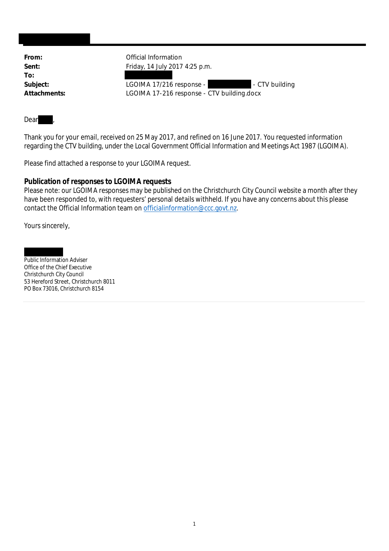**To:**

**From:** Official Information **Sent:** Friday, 14 July 2017 4:25 p.m.

Subject: LGOIMA 17/216 response - The CTV building **Attachments:** LGOIMA 17-216 response - CTV building.docx

Dear **b** 

Thank you for your email, received on 25 May 2017, and refined on 16 June 2017. You requested information regarding the CTV building, under the Local Government Official Information and Meetings Act 1987 (LGOIMA).

Please find attached a response to your LGOIMA request.

**Publication of responses to LGOIMA requests**

Please note: our LGOIMA responses may be published on the Christchurch City Council website a month after they have been responded to, with requesters' personal details withheld. If you have any concerns about this please contact the Official Information team on officialinformation@ccc.govt.nz.

Yours sincerely,

Public Information Adviser Office of the Chief Executive Christchurch City Council 53 Hereford Street, Christchurch 8011 PO Box 73016, Christchurch 8154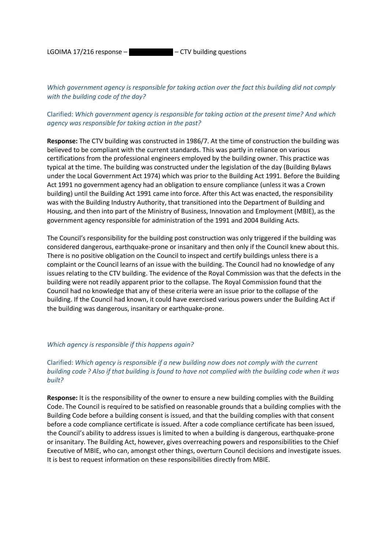LGOIMA 17/216 response  $-$  CTV building questions

*Which government agency is responsible for taking action over the fact this building did not comply with the building code of the day?*

## Clarified: *Which government agency is responsible for taking action at the present time? And which agency was responsible for taking action in the past?*

**Response:** The CTV building was constructed in 1986/7. At the time of construction the building was believed to be compliant with the current standards. This was partly in reliance on various certifications from the professional engineers employed by the building owner. This practice was typical at the time. The building was constructed under the legislation of the day (Building Bylaws under the Local Government Act 1974) which was prior to the Building Act 1991. Before the Building Act 1991 no government agency had an obligation to ensure compliance (unless it was a Crown building) until the Building Act 1991 came into force. After this Act was enacted, the responsibility was with the Building Industry Authority, that transitioned into the Department of Building and Housing, and then into part of the Ministry of Business, Innovation and Employment (MBIE), as the government agency responsible for administration of the 1991 and 2004 Building Acts.

The Council's responsibility for the building post construction was only triggered if the building was considered dangerous, earthquake-prone or insanitary and then only if the Council knew about this. There is no positive obligation on the Council to inspect and certify buildings unless there is a complaint or the Council learns of an issue with the building. The Council had no knowledge of any issues relating to the CTV building. The evidence of the Royal Commission was that the defects in the building were not readily apparent prior to the collapse. The Royal Commission found that the Council had no knowledge that any of these criteria were an issue prior to the collapse of the building. If the Council had known, it could have exercised various powers under the Building Act if the building was dangerous, insanitary or earthquake-prone.

#### *Which agency is responsible if this happens again?*

# Clarified: *Which agency is responsible if a new building now does not comply with the current building code ? Also if that building is found to have not complied with the building code when it was built?*

**Response:** It is the responsibility of the owner to ensure a new building complies with the Building Code. The Council is required to be satisfied on reasonable grounds that a building complies with the Building Code before a building consent is issued, and that the building complies with that consent before a code compliance certificate is issued. After a code compliance certificate has been issued, the Council's ability to address issues is limited to when a building is dangerous, earthquake-prone or insanitary. The Building Act, however, gives overreaching powers and responsibilities to the Chief Executive of MBIE, who can, amongst other things, overturn Council decisions and investigate issues. It is best to request information on these responsibilities directly from MBIE.